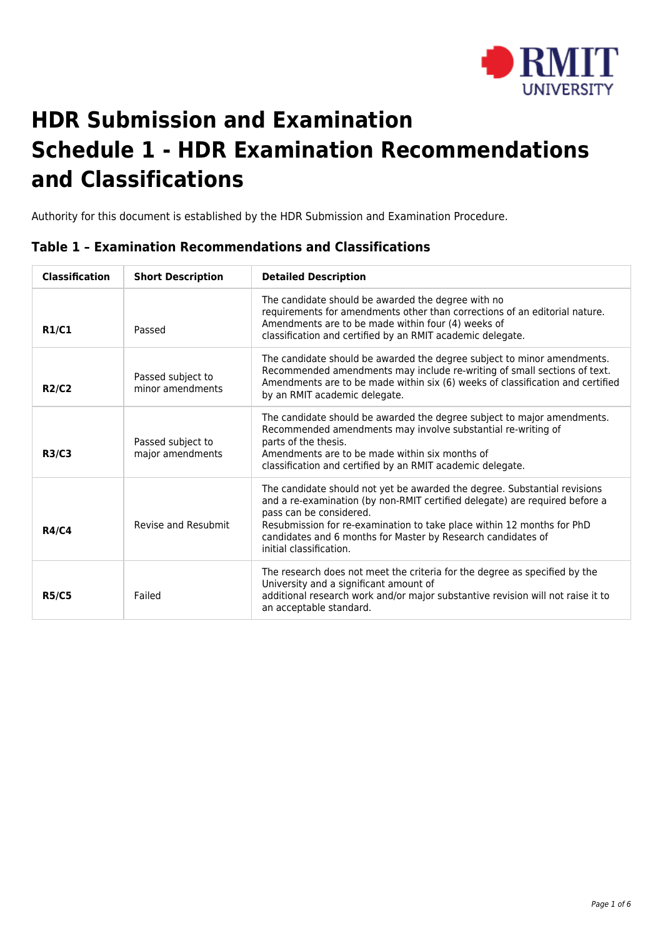

# **HDR Submission and Examination Schedule 1 - HDR Examination Recommendations and Classifications**

Authority for this document is established by the HDR Submission and Examination Procedure.

| <b>Classification</b> | <b>Short Description</b>              | <b>Detailed Description</b>                                                                                                                                                                                                                                                                                                                              |
|-----------------------|---------------------------------------|----------------------------------------------------------------------------------------------------------------------------------------------------------------------------------------------------------------------------------------------------------------------------------------------------------------------------------------------------------|
| <b>R1/C1</b>          | Passed                                | The candidate should be awarded the degree with no<br>requirements for amendments other than corrections of an editorial nature.<br>Amendments are to be made within four (4) weeks of<br>classification and certified by an RMIT academic delegate.                                                                                                     |
| <b>R2/C2</b>          | Passed subject to<br>minor amendments | The candidate should be awarded the degree subject to minor amendments.<br>Recommended amendments may include re-writing of small sections of text.<br>Amendments are to be made within six (6) weeks of classification and certified<br>by an RMIT academic delegate.                                                                                   |
| <b>R3/C3</b>          | Passed subject to<br>major amendments | The candidate should be awarded the degree subject to major amendments.<br>Recommended amendments may involve substantial re-writing of<br>parts of the thesis.<br>Amendments are to be made within six months of<br>classification and certified by an RMIT academic delegate.                                                                          |
| <b>R4/C4</b>          | Revise and Resubmit                   | The candidate should not yet be awarded the degree. Substantial revisions<br>and a re-examination (by non-RMIT certified delegate) are required before a<br>pass can be considered.<br>Resubmission for re-examination to take place within 12 months for PhD<br>candidates and 6 months for Master by Research candidates of<br>initial classification. |
| <b>R5/C5</b>          | Failed                                | The research does not meet the criteria for the degree as specified by the<br>University and a significant amount of<br>additional research work and/or major substantive revision will not raise it to<br>an acceptable standard.                                                                                                                       |

## **Table 1 – Examination Recommendations and Classifications**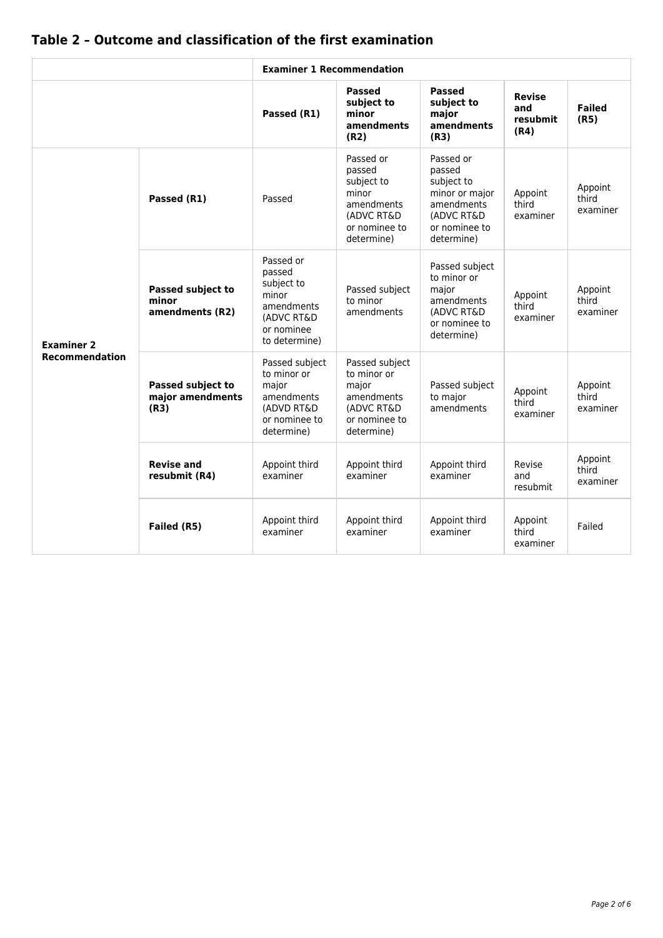|                       |                                                      | <b>Examiner 1 Recommendation</b>                                                                      |                                                                                                       |                                                                                                                |                                          |                              |
|-----------------------|------------------------------------------------------|-------------------------------------------------------------------------------------------------------|-------------------------------------------------------------------------------------------------------|----------------------------------------------------------------------------------------------------------------|------------------------------------------|------------------------------|
|                       |                                                      | Passed (R1)                                                                                           | <b>Passed</b><br>subject to<br>minor<br>amendments<br>(R2)                                            | <b>Passed</b><br>subject to<br>major<br>amendments<br>(R3)                                                     | <b>Revise</b><br>and<br>resubmit<br>(R4) | <b>Failed</b><br>(R5)        |
|                       | Passed (R1)                                          | Passed                                                                                                | Passed or<br>passed<br>subject to<br>minor<br>amendments<br>(ADVC RT&D<br>or nominee to<br>determine) | Passed or<br>passed<br>subject to<br>minor or major<br>amendments<br>(ADVC RT&D<br>or nominee to<br>determine) | Appoint<br>third<br>examiner             | Appoint<br>third<br>examiner |
| <b>Examiner 2</b>     | <b>Passed subject to</b><br>minor<br>amendments (R2) | Passed or<br>passed<br>subject to<br>minor<br>amendments<br>(ADVC RT&D<br>or nominee<br>to determine) | Passed subject<br>to minor<br>amendments                                                              | Passed subject<br>to minor or<br>major<br>amendments<br>(ADVC RT&D)<br>or nominee to<br>determine)             | Appoint<br>third<br>examiner             | Appoint<br>third<br>examiner |
| <b>Recommendation</b> | <b>Passed subject to</b><br>major amendments<br>(R3) | Passed subject<br>to minor or<br>major<br>amendments<br>(ADVD RT&D)<br>or nominee to<br>determine)    | Passed subject<br>to minor or<br>major<br>amendments<br>(ADVC RT&D)<br>or nominee to<br>determine)    | Passed subject<br>to major<br>amendments                                                                       | Appoint<br>third<br>examiner             | Appoint<br>third<br>examiner |
|                       | <b>Revise and</b><br>resubmit (R4)                   | Appoint third<br>examiner                                                                             | Appoint third<br>examiner                                                                             | Appoint third<br>examiner                                                                                      | Revise<br>and<br>resubmit                | Appoint<br>third<br>examiner |
|                       | Failed (R5)                                          | Appoint third<br>examiner                                                                             | Appoint third<br>examiner                                                                             | Appoint third<br>examiner                                                                                      | Appoint<br>third<br>examiner             | Failed                       |

# **Table 2 – Outcome and classification of the first examination**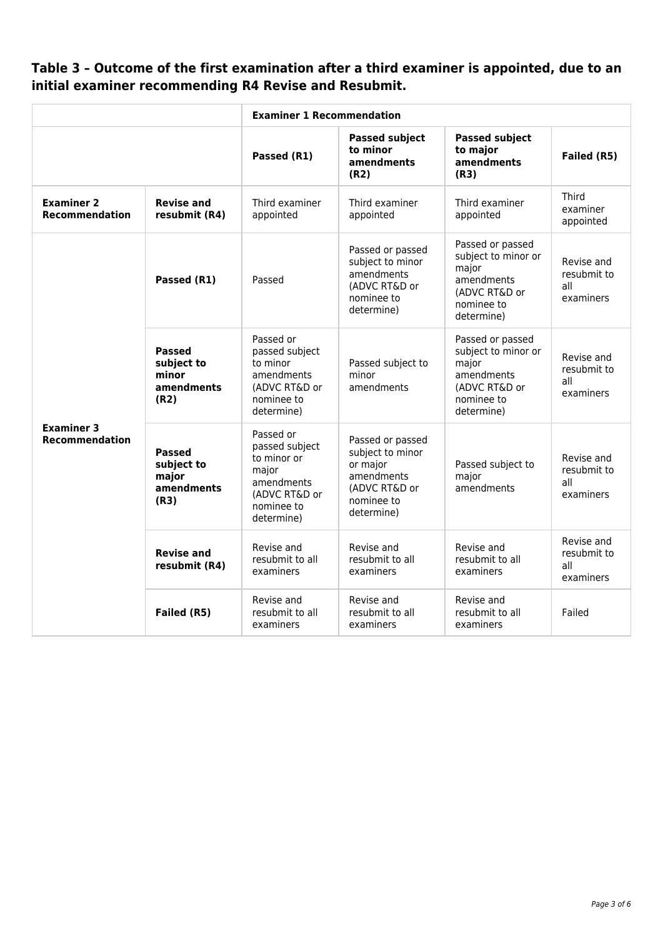# **Table 3 – Outcome of the first examination after a third examiner is appointed, due to an initial examiner recommending R4 Revise and Resubmit.**

|                                            |                                                                                                                                                                              | <b>Examiner 1 Recommendation</b>                                                                   |                                                                                                             |                                                                                                             |                                               |
|--------------------------------------------|------------------------------------------------------------------------------------------------------------------------------------------------------------------------------|----------------------------------------------------------------------------------------------------|-------------------------------------------------------------------------------------------------------------|-------------------------------------------------------------------------------------------------------------|-----------------------------------------------|
|                                            |                                                                                                                                                                              | Passed (R1)                                                                                        | <b>Passed subject</b><br>to minor<br>amendments<br>(R2)                                                     | <b>Passed subject</b><br>to major<br>amendments<br>(R3)                                                     | Failed (R5)                                   |
| <b>Examiner 2</b><br><b>Recommendation</b> | <b>Revise and</b><br>resubmit (R4)                                                                                                                                           | Third examiner<br>appointed                                                                        | Third examiner<br>appointed                                                                                 | Third examiner<br>appointed                                                                                 | Third<br>examiner<br>appointed                |
|                                            | Passed (R1)                                                                                                                                                                  | Passed                                                                                             | Passed or passed<br>subject to minor<br>amendments<br>(ADVC RT&D or<br>nominee to<br>determine)             | Passed or passed<br>subject to minor or<br>major<br>amendments<br>(ADVC RT&D or<br>nominee to<br>determine) | Revise and<br>resubmit to<br>all<br>examiners |
|                                            | <b>Passed</b><br>subject to<br>minor<br>amendments<br>(R2)                                                                                                                   | Passed or<br>passed subject<br>to minor<br>amendments<br>(ADVC RT&D or<br>nominee to<br>determine) | Passed subject to<br>minor<br>amendments                                                                    | Passed or passed<br>subject to minor or<br>major<br>amendments<br>(ADVC RT&D or<br>nominee to<br>determine) | Revise and<br>resubmit to<br>all<br>examiners |
| <b>Examiner 3</b><br><b>Recommendation</b> | Passed or<br>passed subject<br><b>Passed</b><br>to minor or<br>subject to<br>major<br>major<br>amendments<br>amendments<br>(ADVC RT&D or<br>(R3)<br>nominee to<br>determine) |                                                                                                    | Passed or passed<br>subject to minor<br>or major<br>amendments<br>(ADVC RT&D or<br>nominee to<br>determine) | Passed subject to<br>major<br>amendments                                                                    | Revise and<br>resubmit to<br>all<br>examiners |
|                                            | <b>Revise and</b><br>resubmit (R4)                                                                                                                                           | Revise and<br>resubmit to all<br>examiners                                                         | Revise and<br>resubmit to all<br>examiners                                                                  | Revise and<br>resubmit to all<br>examiners                                                                  | Revise and<br>resubmit to<br>all<br>examiners |
|                                            | Failed (R5)                                                                                                                                                                  | Revise and<br>resubmit to all<br>examiners                                                         | Revise and<br>resubmit to all<br>examiners                                                                  | Revise and<br>resubmit to all<br>examiners                                                                  | Failed                                        |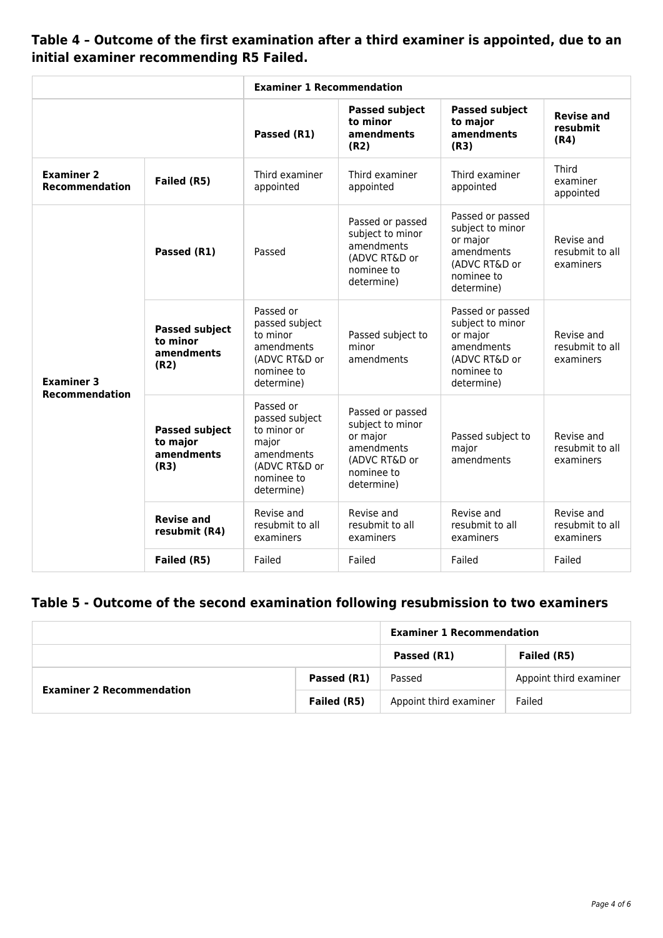**Table 4 – Outcome of the first examination after a third examiner is appointed, due to an initial examiner recommending R5 Failed.**

|                                            |                                                                                                                                        | <b>Examiner 1 Recommendation</b>                                                                   |                                                                                                             |                                                                                                             |                                            |
|--------------------------------------------|----------------------------------------------------------------------------------------------------------------------------------------|----------------------------------------------------------------------------------------------------|-------------------------------------------------------------------------------------------------------------|-------------------------------------------------------------------------------------------------------------|--------------------------------------------|
|                                            |                                                                                                                                        | Passed (R1)                                                                                        | <b>Passed subject</b><br>to minor<br>amendments<br>(R2)                                                     | <b>Passed subject</b><br>to major<br>amendments<br>(R3)                                                     | <b>Revise and</b><br>resubmit<br>(R4)      |
| <b>Examiner 2</b><br><b>Recommendation</b> | Failed (R5)                                                                                                                            | Third examiner<br>appointed                                                                        | Third examiner<br>appointed                                                                                 | Third examiner<br>appointed                                                                                 | Third<br>examiner<br>appointed             |
|                                            | Passed (R1)                                                                                                                            | Passed                                                                                             | Passed or passed<br>subject to minor<br>amendments<br>(ADVC RT&D or<br>nominee to<br>determine)             | Passed or passed<br>subject to minor<br>or major<br>amendments<br>(ADVC RT&D or<br>nominee to<br>determine) | Revise and<br>resubmit to all<br>examiners |
| <b>Examiner 3</b><br><b>Recommendation</b> | <b>Passed subject</b><br>to minor<br>amendments<br>(R2)                                                                                | Passed or<br>passed subject<br>to minor<br>amendments<br>(ADVC RT&D or<br>nominee to<br>determine) | Passed subject to<br>minor<br>amendments                                                                    | Passed or passed<br>subject to minor<br>or major<br>amendments<br>(ADVC RT&D or<br>nominee to<br>determine) | Revise and<br>resubmit to all<br>examiners |
|                                            | Passed or<br><b>Passed subject</b><br>to minor or<br>to major<br>major<br>amendments<br>amendments<br>(R3)<br>nominee to<br>determine) | passed subject<br>(ADVC RT&D or                                                                    | Passed or passed<br>subject to minor<br>or major<br>amendments<br>(ADVC RT&D or<br>nominee to<br>determine) | Passed subject to<br>major<br>amendments                                                                    | Revise and<br>resubmit to all<br>examiners |
|                                            | <b>Revise and</b><br>resubmit (R4)                                                                                                     | Revise and<br>resubmit to all<br>examiners                                                         | Revise and<br>resubmit to all<br>examiners                                                                  | Revise and<br>resubmit to all<br>examiners                                                                  | Revise and<br>resubmit to all<br>examiners |
|                                            | Failed (R5)                                                                                                                            | Failed                                                                                             | Failed                                                                                                      | Failed                                                                                                      | Failed                                     |

## **Table 5 - Outcome of the second examination following resubmission to two examiners**

|                                  |             | <b>Examiner 1 Recommendation</b> |                        |  |
|----------------------------------|-------------|----------------------------------|------------------------|--|
|                                  |             | Passed (R1)                      | Failed (R5)            |  |
| <b>Examiner 2 Recommendation</b> | Passed (R1) | Passed                           | Appoint third examiner |  |
|                                  | Failed (R5) | Appoint third examiner           | Failed                 |  |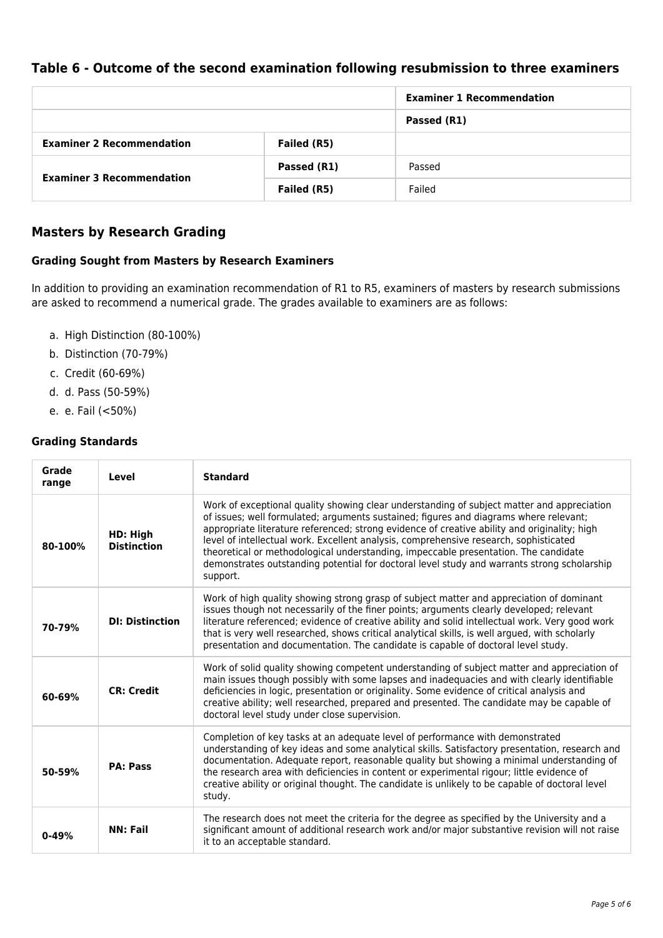### **Table 6 - Outcome of the second examination following resubmission to three examiners**

|                                  |             | <b>Examiner 1 Recommendation</b> |
|----------------------------------|-------------|----------------------------------|
|                                  |             | Passed (R1)                      |
| <b>Examiner 2 Recommendation</b> | Failed (R5) |                                  |
| <b>Examiner 3 Recommendation</b> | Passed (R1) | Passed                           |
|                                  | Failed (R5) | Failed                           |

### **Masters by Research Grading**

#### **Grading Sought from Masters by Research Examiners**

In addition to providing an examination recommendation of R1 to R5, examiners of masters by research submissions are asked to recommend a numerical grade. The grades available to examiners are as follows:

- a. High Distinction (80-100%)
- b. Distinction (70-79%)
- c. Credit (60-69%)
- d. d. Pass (50-59%)
- e. e. Fail (<50%)

#### **Grading Standards**

| Grade<br>range | <b>Level</b>                   | <b>Standard</b>                                                                                                                                                                                                                                                                                                                                                                                                                                                                                                                                                                |
|----------------|--------------------------------|--------------------------------------------------------------------------------------------------------------------------------------------------------------------------------------------------------------------------------------------------------------------------------------------------------------------------------------------------------------------------------------------------------------------------------------------------------------------------------------------------------------------------------------------------------------------------------|
| 80-100%        | HD: High<br><b>Distinction</b> | Work of exceptional quality showing clear understanding of subject matter and appreciation<br>of issues; well formulated; arguments sustained; figures and diagrams where relevant;<br>appropriate literature referenced; strong evidence of creative ability and originality; high<br>level of intellectual work. Excellent analysis, comprehensive research, sophisticated<br>theoretical or methodological understanding, impeccable presentation. The candidate<br>demonstrates outstanding potential for doctoral level study and warrants strong scholarship<br>support. |
| 70-79%         | <b>DI: Distinction</b>         | Work of high quality showing strong grasp of subject matter and appreciation of dominant<br>issues though not necessarily of the finer points; arguments clearly developed; relevant<br>literature referenced; evidence of creative ability and solid intellectual work. Very good work<br>that is very well researched, shows critical analytical skills, is well argued, with scholarly<br>presentation and documentation. The candidate is capable of doctoral level study.                                                                                                 |
| 60-69%         | <b>CR: Credit</b>              | Work of solid quality showing competent understanding of subject matter and appreciation of<br>main issues though possibly with some lapses and inadequacies and with clearly identifiable<br>deficiencies in logic, presentation or originality. Some evidence of critical analysis and<br>creative ability; well researched, prepared and presented. The candidate may be capable of<br>doctoral level study under close supervision.                                                                                                                                        |
| 50-59%         | <b>PA: Pass</b>                | Completion of key tasks at an adequate level of performance with demonstrated<br>understanding of key ideas and some analytical skills. Satisfactory presentation, research and<br>documentation. Adequate report, reasonable quality but showing a minimal understanding of<br>the research area with deficiencies in content or experimental rigour; little evidence of<br>creative ability or original thought. The candidate is unlikely to be capable of doctoral level<br>study.                                                                                         |
| $0 - 49%$      | <b>NN: Fail</b>                | The research does not meet the criteria for the degree as specified by the University and a<br>significant amount of additional research work and/or major substantive revision will not raise<br>it to an acceptable standard.                                                                                                                                                                                                                                                                                                                                                |